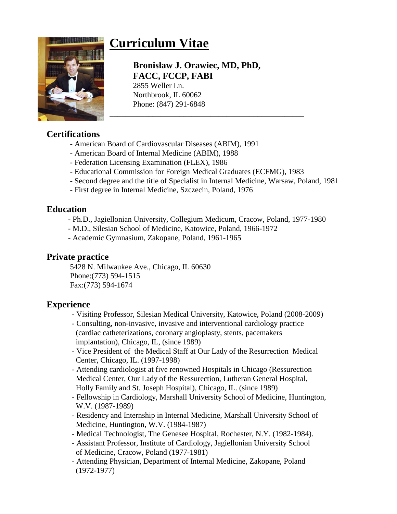# **Curriculum Vitae**



# **Bronisław J. Orawiec, MD, PhD, FACC, FCCP, FABI**

2855 Weller Ln. Northbrook, IL 60062 Phone: (847) 291-6848

# **Certifications**

- American Board of Cardiovascular Diseases (ABIM), 1991
- American Board of Internal Medicine (ABIM), 1988
- Federation Licensing Examination (FLEX), 1986
- Educational Commission for Foreign Medical Graduates (ECFMG), 1983
- Second degree and the title of Specialist in Internal Medicine, Warsaw, Poland, 1981

\_\_\_\_\_\_\_\_\_\_\_\_\_\_\_\_\_\_\_\_\_\_\_\_\_\_\_\_\_\_\_\_\_\_\_\_\_\_\_\_\_\_\_\_\_\_\_\_\_\_

- First degree in Internal Medicine, Szczecin, Poland, 1976

#### **Education**

- **-** Ph.D., Jagiellonian University, Collegium Medicum, Cracow, Poland, 1977-1980
- M.D., Silesian School of Medicine, Katowice, Poland, 1966-1972
- Academic Gymnasium, Zakopane, Poland, 1961-1965

#### **Private practice**

 5428 N. Milwaukee Ave., Chicago, IL 60630 Phone:(773) 594-1515 Fax:(773) 594-1674

# **Experience**

- Visiting Professor, Silesian Medical University, Katowice, Poland (2008-2009)
- Consulting, non-invasive, invasive and interventional cardiology practice (cardiac catheterizations, coronary angioplasty, stents, pacemakers implantation), Chicago, IL, (since 1989)
- Vice President of the Medical Staff at Our Lady of the Resurrection Medical Center, Chicago, IL. (1997-1998)
- Attending cardiologist at five renowned Hospitals in Chicago (Ressurection Medical Center, Our Lady of the Ressurection, Lutheran General Hospital, Holly Family and St. Joseph Hospital), Chicago, IL. (since 1989)
- Fellowship in Cardiology, Marshall University School of Medicine, Huntington, W.V. (1987-1989)
- Residency and Internship in Internal Medicine, Marshall University School of Medicine, Huntington, W.V. (1984-1987)
- Medical Technologist, The Genesee Hospital, Rochester, N.Y. (1982-1984).
- Assistant Professor, Institute of Cardiology, Jagiellonian University School of Medicine, Cracow, Poland (1977-1981)
- Attending Physician, Department of Internal Medicine, Zakopane, Poland (1972-1977)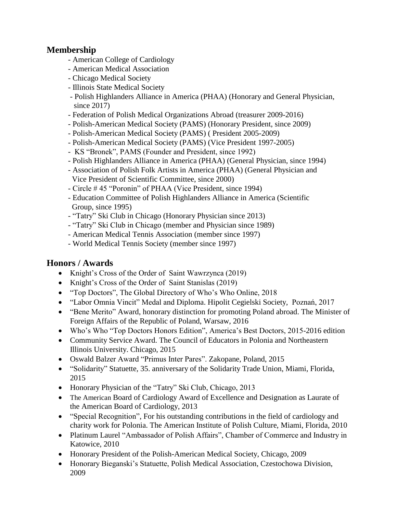#### **Membership**

- American College of Cardiology
- American Medical Association
- Chicago Medical Society
- Illinois State Medical Society
- Polish Highlanders Alliance in America (PHAA) (Honorary and General Physician, since 2017)
- Federation of Polish Medical Organizations Abroad (treasurer 2009-2016)
- Polish-American Medical Society (PAMS) (Honorary President, since 2009)
- Polish-American Medical Society (PAMS) ( President 2005-2009)
- Polish-American Medical Society (PAMS) (Vice President 1997-2005)
- KS "Bronek", PAMS (Founder and President, since 1992)
- Polish Highlanders Alliance in America (PHAA) (General Physician, since 1994)
- Association of Polish Folk Artists in America (PHAA) (General Physician and Vice President of Scientific Committee, since 2000)
- Circle # 45 "Poronin" of PHAA (Vice President, since 1994)
- Education Committee of Polish Highlanders Alliance in America (Scientific Group, since 1995)
- "Tatry" Ski Club in Chicago (Honorary Physician since 2013)
- "Tatry" Ski Club in Chicago (member and Physician since 1989)
- American Medical Tennis Association (member since 1997)
- World Medical Tennis Society (member since 1997)

# **Honors / Awards**

- Knight's Cross of the Order of Saint Wawrzynca (2019)
- Knight's Cross of the Order of Saint Stanislas (2019)
- "Top Doctors", The Global Directory of Who's Who Online, 2018
- "Labor Omnia Vincit" Medal and Diploma. Hipolit Cegielski Society, Poznań, 2017
- "Bene Merito" Award, honorary distinction for promoting Poland abroad. The Minister of Foreign Affairs of the Republic of Poland, Warsaw, 2016
- Who's Who "Top Doctors Honors Edition", America's Best Doctors, 2015-2016 edition
- Community Service Award. The Council of Educators in Polonia and Northeastern Illinois University. Chicago, 2015
- Oswald Balzer Award "Primus Inter Pares". Zakopane, Poland, 2015
- "Solidarity" Statuette, 35. anniversary of the Solidarity Trade Union, Miami, Florida, 2015
- Honorary Physician of the "Tatry" Ski Club, Chicago, 2013
- The American Board of Cardiology Award of Excellence and Designation as Laurate of the American Board of Cardiology, 2013
- "Special Recognition", For his outstanding contributions in the field of cardiology and charity work for Polonia. The American Institute of Polish Culture, Miami, Florida, 2010
- Platinum Laurel "Ambassador of Polish Affairs", Chamber of Commerce and Industry in Katowice, 2010
- Honorary President of the Polish-American Medical Society, Chicago, 2009
- Honorary Bieganski's Statuette, Polish Medical Association, Czestochowa Division, 2009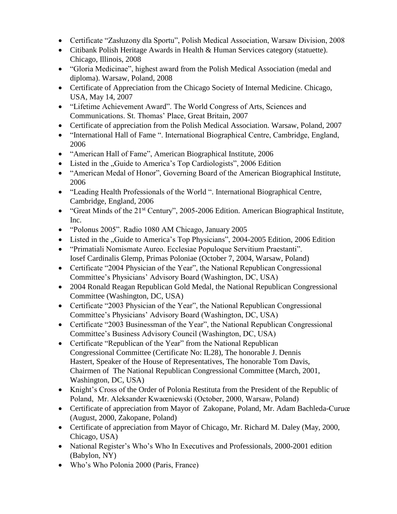- Certificate "Zasłuzony dla Sportu", Polish Medical Association, Warsaw Division, 2008
- Citibank Polish Heritage Awards in Health & Human Services category (statuette). Chicago, Illinois, 2008
- "Gloria Medicinae", highest award from the Polish Medical Association (medal and diploma). Warsaw, Poland, 2008
- Certificate of Appreciation from the Chicago Society of Internal Medicine. Chicago, USA, May 14, 2007
- "Lifetime Achievement Award". The World Congress of Arts, Sciences and Communications. St. Thomas' Place, Great Britain, 2007
- Certificate of appreciation from the Polish Medical Association. Warsaw, Poland, 2007
- "International Hall of Fame ". International Biographical Centre, Cambridge, England, 2006
- "American Hall of Fame", American Biographical Institute, 2006
- Listed in the "Guide to America's Top Cardiologists", 2006 Edition
- "American Medal of Honor", Governing Board of the American Biographical Institute, 2006
- "Leading Health Professionals of the World ". International Biographical Centre, Cambridge, England, 2006
- "Great Minds of the  $21<sup>st</sup>$  Century", 2005-2006 Edition. American Biographical Institute, Inc.
- "Polonus 2005". Radio 1080 AM Chicago, January 2005
- Listed in the "Guide to America's Top Physicians", 2004-2005 Edition, 2006 Edition
- "Primatiali Nomismate Aureo. Ecclesiae Populoque Servitium Praestanti". Iosef Cardinalis Glemp, Primas Poloniae (October 7, 2004, Warsaw, Poland)
- Certificate "2004 Physician of the Year", the National Republican Congressional Committee's Physicians' Advisory Board (Washington, DC, USA)
- 2004 Ronald Reagan Republican Gold Medal, the National Republican Congressional Committee (Washington, DC, USA)
- Certificate "2003 Physician of the Year", the National Republican Congressional Committee's Physicians' Advisory Board (Washington, DC, USA)
- Certificate "2003 Businessman of the Year", the National Republican Congressional Committee's Business Advisory Council (Washington, DC, USA)
- Certificate "Republican of the Year" from the National Republican Congressional Committee (Certificate No: IL28), The honorable J. Dennis Hastert, Speaker of the House of Representatives, The honorable Tom Davis, Chairmen of The National Republican Congressional Committee (March, 2001, Washington, DC, USA)
- Knight's Cross of the Order of Polonia Restituta from the President of the Republic of Poland, Mr. Aleksander Kwaœniewski (October, 2000, Warsaw, Poland)
- Certificate of appreciation from Mayor of Zakopane, Poland, Mr. Adam Bachleda-Curuœ (August, 2000, Zakopane, Poland)
- Certificate of appreciation from Mayor of Chicago, Mr. Richard M. Daley (May, 2000, Chicago, USA)
- National Register's Who's Who In Executives and Professionals, 2000-2001 edition (Babylon, NY)
- Who's Who Polonia 2000 (Paris, France)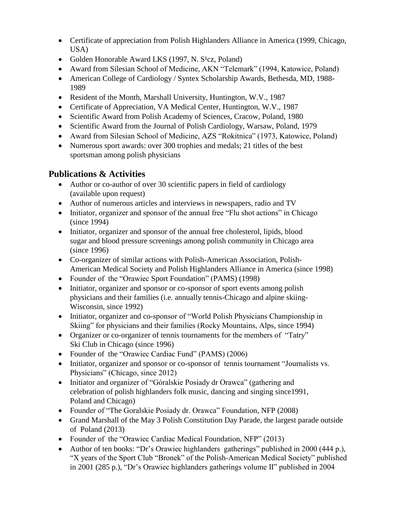- Certificate of appreciation from Polish Highlanders Alliance in America (1999, Chicago, USA)
- Golden Honorable Award LKS (1997, N.  $S<sup>1</sup>cz$ , Poland)
- Award from Silesian School of Medicine, AKN "Telemark" (1994, Katowice, Poland)
- American College of Cardiology / Syntex Scholarship Awards, Bethesda, MD, 1988- 1989
- Resident of the Month, Marshall University, Huntington, W.V., 1987
- Certificate of Appreciation, VA Medical Center, Huntington, W.V., 1987
- Scientific Award from Polish Academy of Sciences, Cracow, Poland, 1980
- Scientific Award from the Journal of Polish Cardiology, Warsaw, Poland, 1979
- Award from Silesian School of Medicine, AZS "Rokitnica" (1973, Katowice, Poland)
- Numerous sport awards: over 300 trophies and medals; 21 titles of the best sportsman among polish physicians

# **Publications & Activities**

- Author or co-author of over 30 scientific papers in field of cardiology (available upon request)
- Author of numerous articles and interviews in newspapers, radio and TV
- Initiator, organizer and sponsor of the annual free "Flu shot actions" in Chicago (since 1994)
- Initiator, organizer and sponsor of the annual free cholesterol, lipids, blood sugar and blood pressure screenings among polish community in Chicago area (since 1996)
- Co-organizer of similar actions with Polish-American Association, Polish- American Medical Society and Polish Highlanders Alliance in America (since 1998)
- Founder of the "Orawiec Sport Foundation" (PAMS) (1998)
- Initiator, organizer and sponsor or co-sponsor of sport events among polish physicians and their families (i.e. annually tennis-Chicago and alpine skiing- Wisconsin, since 1992)
- Initiator, organizer and co-sponsor of "World Polish Physicians Championship in Skiing" for physicians and their families (Rocky Mountains, Alps, since 1994)
- Organizer or co-organizer of tennis tournaments for the members of "Tatry" Ski Club in Chicago (since 1996)
- Founder of the "Orawiec Cardiac Fund" (PAMS) (2006)
- Initiator, organizer and sponsor or co-sponsor of tennis tournament "Journalists vs. Physicians" (Chicago, since 2012)
- Initiator and organizer of "Góralskie Posiady dr Orawca" (gathering and celebration of polish highlanders folk music, dancing and singing since1991, Poland and Chicago)
- Founder of "The Goralskie Posiady dr. Orawca" Foundation, NFP (2008)
- Grand Marshall of the May 3 Polish Constitution Day Parade, the largest parade outside of Poland (2013)
- Founder of the "Orawiec Cardiac Medical Foundation, NFP" (2013)
- Author of ten books: "Dr's Orawiec highlanders gatherings" published in 2000 (444 p.), "X years of the Sport Club "Bronek" of the Polish-American Medical Society" published in 2001 (285 p.), "Dr's Orawiec highlanders gatherings volume II" published in 2004